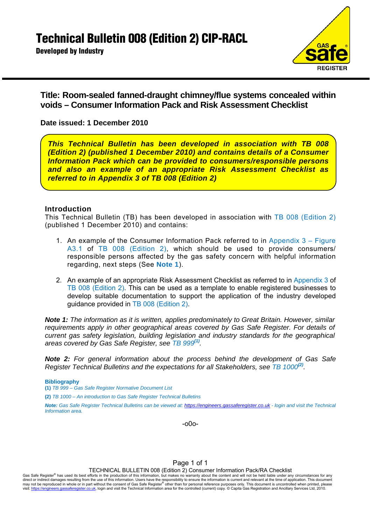**Developed by Industry** 



**Title: Room-sealed fanned-draught chimney/flue systems concealed within voids – Consumer Information Pack and Risk Assessment Checklist** 

**Date issued: 1 December 2010**

*This Technical Bulletin has been developed in association with TB 008 (Edition 2) (published 1 December 2010) and contains details of a Consumer Information Pack which can be provided to consumers/responsible persons and also an example of an appropriate Risk Assessment Checklist as referred to in Appendix 3 of TB 008 (Edition 2)* 

# **Introduction**

This Technical Bulletin (TB) has been developed in association with TB 008 (Edition 2) (published 1 December 2010) and contains:

- 1. An example of the Consumer Information Pack referred to in Appendix  $3 -$  Figure A3.1 of TB 008 (Edition 2), which should be used to provide consumers/ responsible persons affected by the gas safety concern with helpful information regarding, next steps (See **Note 1**).
- 2. An example of an appropriate Risk Assessment Checklist as referred to in Appendix 3 of TB 008 (Edition 2). This can be used as a template to enable registered businesses to develop suitable documentation to support the application of the industry developed guidance provided in TB 008 (Edition 2).

*Note 1: The information as it is written, applies predominately to Great Britain. However, similar requirements apply in other geographical areas covered by Gas Safe Register. For details of current gas safety legislation, building legislation and industry standards for the geographical areas covered by Gas Safe Register, see TB 999(1).* 

*Note 2: For general information about the process behind the development of Gas Safe Register Technical Bulletins and the expectations for all Stakeholders, see TB 1000(2).*

**Bibliography** 

**(1)** *TB 999 – Gas Safe Register Normative Document List*

**(2)** *TB 1000 – An introduction to Gas Safe Register Technical Bulletins*

*Note: Gas Safe Register Technical Bulletins can be viewed at: https://engineers.gassaferegister.co.uk - login and visit the Technical Information area.* 

-o0o-

#### Page 1 of 1

TECHNICAL BULLETIN 008 (Edition 2) Consumer Information Pack/RA Checklist

Gas Safe Register® has used its best efforts in the production of this information, but makes no warranty about the content and will not be held liable under any circumstances for any direct or indirect damages resulting f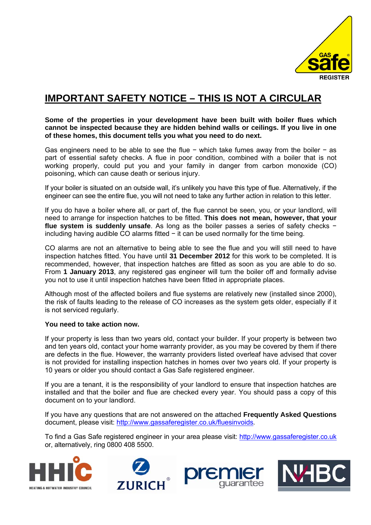

# **IMPORTANT SAFETY NOTICE – THIS IS NOT A CIRCULAR**

**Some of the properties in your development have been built with boiler flues which cannot be inspected because they are hidden behind walls or ceilings. If you live in one of these homes, this document tells you what you need to do next.** 

Gas engineers need to be able to see the flue − which take fumes away from the boiler − as part of essential safety checks. A flue in poor condition, combined with a boiler that is not working properly, could put you and your family in danger from carbon monoxide (CO) poisoning, which can cause death or serious injury.

If your boiler is situated on an outside wall, it's unlikely you have this type of flue. Alternatively, if the engineer can see the entire flue, you will not need to take any further action in relation to this letter.

If you do have a boiler where all, or part of, the flue cannot be seen, you, or your landlord, will need to arrange for inspection hatches to be fitted. **This does not mean, however, that your flue system is suddenly unsafe**. As long as the boiler passes a series of safety checks − including having audible CO alarms fitted − it can be used normally for the time being.

CO alarms are not an alternative to being able to see the flue and you will still need to have inspection hatches fitted. You have until **31 December 2012** for this work to be completed. It is recommended, however, that inspection hatches are fitted as soon as you are able to do so. From **1 January 2013**, any registered gas engineer will turn the boiler off and formally advise you not to use it until inspection hatches have been fitted in appropriate places.

Although most of the affected boilers and flue systems are relatively new (installed since 2000), the risk of faults leading to the release of CO increases as the system gets older, especially if it is not serviced regularly.

# **You need to take action now.**

If your property is less than two years old, contact your builder. If your property is between two and ten years old, contact your home warranty provider, as you may be covered by them if there are defects in the flue. However, the warranty providers listed overleaf have advised that cover is not provided for installing inspection hatches in homes over two years old. If your property is 10 years or older you should contact a Gas Safe registered engineer.

If you are a tenant, it is the responsibility of your landlord to ensure that inspection hatches are installed and that the boiler and flue are checked every year. You should pass a copy of this document on to your landlord.

If you have any questions that are not answered on the attached **Frequently Asked Questions** document, please visit: http://www.gassaferegister.co.uk/fluesinvoids*.* 

To find a Gas Safe registered engineer in your area please visit: http://www.gassaferegister.co.uk or, alternatively, ring 0800 408 5500.





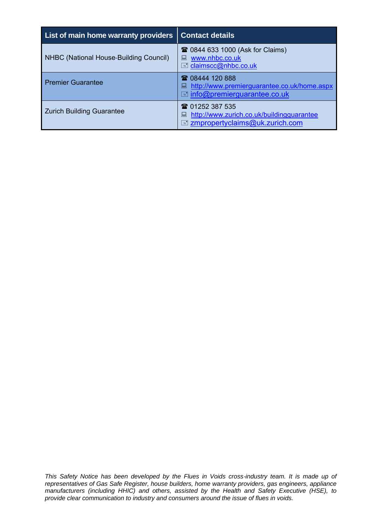| List of main home warranty providers   | <b>Contact details</b>                                                                                          |
|----------------------------------------|-----------------------------------------------------------------------------------------------------------------|
| NHBC (National House-Building Council) | <b>■ 0844 633 1000 (Ask for Claims)</b><br>www.nhbc.co.uk<br><b>E</b> claimscc@nhbc.co.uk                       |
| <b>Premier Guarantee</b>               | ☎ 08444 120 888<br>Intertional http://www.premierguarantee.co.uk/home.aspx<br>local info@premierguarantee.co.uk |
| <b>Zurich Building Guarantee</b>       | ☎ 01252 387 535<br>http://www.zurich.co.uk/buildingquarantee<br><b>E</b> zmpropertyclaims@uk.zurich.com         |

*This Safety Notice has been developed by the Flues in Voids cross-industry team. It is made up of representatives of Gas Safe Register, house builders, home warranty providers, gas engineers, appliance manufacturers (including HHIC) and others, assisted by the Health and Safety Executive (HSE), to provide clear communication to industry and consumers around the issue of flues in voids.*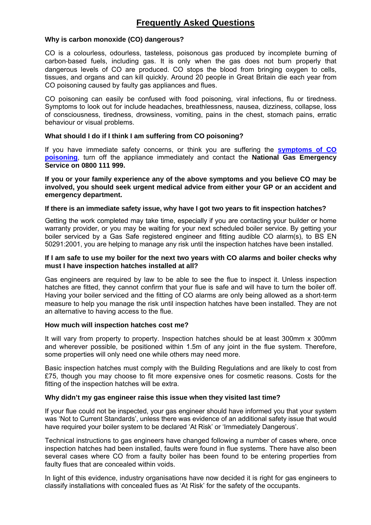# **Frequently Asked Questions**

# **Why is carbon monoxide (CO) dangerous?**

CO is a colourless, odourless, tasteless, poisonous gas produced by incomplete burning of carbon‐based fuels, including gas. It is only when the gas does not burn properly that dangerous levels of CO are produced. CO stops the blood from bringing oxygen to cells, tissues, and organs and can kill quickly. Around 20 people in Great Britain die each year from CO poisoning caused by faulty gas appliances and flues.

CO poisoning can easily be confused with food poisoning, viral infections, flu or tiredness. Symptoms to look out for include headaches, breathlessness, nausea, dizziness, collapse, loss of consciousness, tiredness, drowsiness, vomiting, pains in the chest, stomach pains, erratic behaviour or visual problems.

# **What should I do if I think I am suffering from CO poisoning?**

If you have immediate safety concerns, or think you are suffering the **symptoms of CO poisoning**, turn off the appliance immediately and contact the **National Gas Emergency Service on 0800 111 999.** 

**If you or your family experience any of the above symptoms and you believe CO may be involved, you should seek urgent medical advice from either your GP or an accident and emergency department.** 

# **If there is an immediate safety issue, why have I got two years to fit inspection hatches?**

Getting the work completed may take time, especially if you are contacting your builder or home warranty provider, or you may be waiting for your next scheduled boiler service. By getting your boiler serviced by a Gas Safe registered engineer and fitting audible CO alarm(s), to BS EN 50291:2001, you are helping to manage any risk until the inspection hatches have been installed.

# **If I am safe to use my boiler for the next two years with CO alarms and boiler checks why must I have inspection hatches installed at all?**

Gas engineers are required by law to be able to see the flue to inspect it. Unless inspection hatches are fitted, they cannot confirm that your flue is safe and will have to turn the boiler off. Having your boiler serviced and the fitting of CO alarms are only being allowed as a short‐term measure to help you manage the risk until inspection hatches have been installed. They are not an alternative to having access to the flue.

#### **How much will inspection hatches cost me?**

It will vary from property to property. Inspection hatches should be at least 300mm x 300mm and wherever possible, be positioned within 1.5m of any joint in the flue system. Therefore, some properties will only need one while others may need more.

Basic inspection hatches must comply with the Building Regulations and are likely to cost from £75, though you may choose to fit more expensive ones for cosmetic reasons. Costs for the fitting of the inspection hatches will be extra.

#### **Why didn't my gas engineer raise this issue when they visited last time?**

If your flue could not be inspected, your gas engineer should have informed you that your system was 'Not to Current Standards', unless there was evidence of an additional safety issue that would have required your boiler system to be declared 'At Risk' or 'Immediately Dangerous'.

Technical instructions to gas engineers have changed following a number of cases where, once inspection hatches had been installed, faults were found in flue systems. There have also been several cases where CO from a faulty boiler has been found to be entering properties from faulty flues that are concealed within voids.

In light of this evidence, industry organisations have now decided it is right for gas engineers to classify installations with concealed flues as 'At Risk' for the safety of the occupants.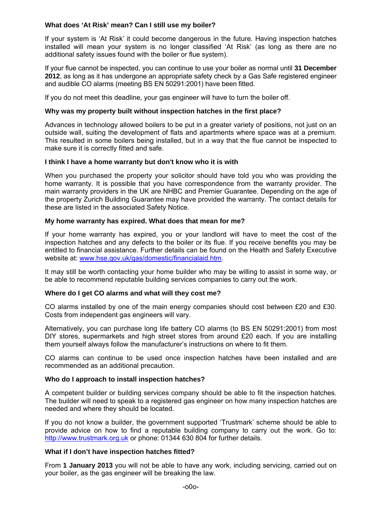# **What does 'At Risk' mean? Can I still use my boiler?**

If your system is 'At Risk' it could become dangerous in the future. Having inspection hatches installed will mean your system is no longer classified 'At Risk' (as long as there are no additional safety issues found with the boiler or flue system).

If your flue cannot be inspected, you can continue to use your boiler as normal until **31 December 2012**, as long as it has undergone an appropriate safety check by a Gas Safe registered engineer and audible CO alarms (meeting BS EN 50291:2001) have been fitted.

If you do not meet this deadline, your gas engineer will have to turn the boiler off.

# **Why was my property built without inspection hatches in the first place?**

Advances in technology allowed boilers to be put in a greater variety of positions, not just on an outside wall, suiting the development of flats and apartments where space was at a premium. This resulted in some boilers being installed, but in a way that the flue cannot be inspected to make sure it is correctly fitted and safe.

# **I think I have a home warranty but don't know who it is with**

When you purchased the property your solicitor should have told you who was providing the home warranty. It is possible that you have correspondence from the warranty provider. The main warranty providers in the UK are NHBC and Premier Guarantee. Depending on the age of the property Zurich Building Guarantee may have provided the warranty. The contact details for these are listed in the associated Safety Notice.

# **My home warranty has expired. What does that mean for me?**

If your home warranty has expired, you or your landlord will have to meet the cost of the inspection hatches and any defects to the boiler or its flue. If you receive benefits you may be entitled to financial assistance. Further details can be found on the Health and Safety Executive website at: www.hse.gov.uk/gas/domestic/financialaid.htm.

It may still be worth contacting your home builder who may be willing to assist in some way, or be able to recommend reputable building services companies to carry out the work.

#### **Where do I get CO alarms and what will they cost me?**

CO alarms installed by one of the main energy companies should cost between £20 and £30. Costs from independent gas engineers will vary.

Alternatively, you can purchase long life battery CO alarms (to BS EN 50291:2001) from most DIY stores, supermarkets and high street stores from around £20 each. If you are installing them yourself always follow the manufacturer's instructions on where to fit them.

CO alarms can continue to be used once inspection hatches have been installed and are recommended as an additional precaution.

# **Who do I approach to install inspection hatches?**

A competent builder or building services company should be able to fit the inspection hatches. The builder will need to speak to a registered gas engineer on how many inspection hatches are needed and where they should be located.

If you do not know a builder, the government supported 'Trustmark' scheme should be able to provide advice on how to find a reputable building company to carry out the work. Go to: http://www.trustmark.org.uk or phone: 01344 630 804 for further details.

#### **What if I don't have inspection hatches fitted?**

From **1 January 2013** you will not be able to have any work, including servicing, carried out on your boiler, as the gas engineer will be breaking the law.